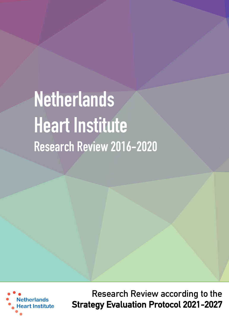# **Netherlands Heart Institute Research Review 2016-2020**



**Research Review according to the Strategy Evaluation Protocol 2021-2027**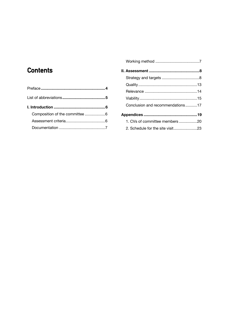# **Contents**

| wud            |
|----------------|
| Rele           |
| Viat           |
| Cor            |
| Apper          |
| 1 <sub>c</sub> |
| 2.5            |

| . 4 |                                  |  |
|-----|----------------------------------|--|
| . 5 |                                  |  |
| . 6 | Conclusion and recommendations17 |  |
| . 6 |                                  |  |
| . 6 | 1. CVs of committee members 20   |  |
| .7  | 2. Schedule for the site visit23 |  |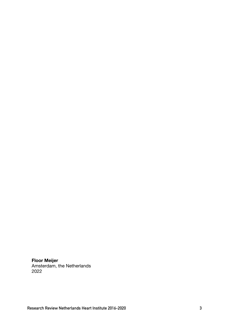**Floor Meijer** Amsterdam, the Netherlands 2022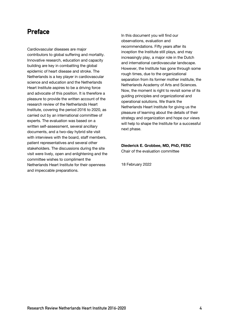# **Preface**

Cardiovascular diseases are major contributors to global suffering and mortality. Innovative research, education and capacity building are key in combatting the global epidemic of heart disease and stroke. The Netherlands is a key player in cardiovascular science and education and the Netherlands Heart Institute aspires to be a driving force and advocate of this position. It is therefore a pleasure to provide the written account of the research review of the Netherlands Heart Institute, covering the period 2016 to 2020, as carried out by an international committee of experts. The evaluation was based on a written self-assessment, several ancillary documents, and a two-day hybrid site visit with interviews with the board, staff members, patient representatives and several other stakeholders. The discussions during the site visit were lively, open and enlightening and the committee wishes to compliment the Netherlands Heart Institute for their openness and impeccable preparations.

In this document you will find our observations, evaluation and recommendations. Fifty years after its inception the Institute still plays, and may increasingly play, a major role in the Dutch and international cardiovascular landscape. However, the Institute has gone through some rough times, due to the organizational separation from its former mother institute, the Netherlands Academy of Arts and Sciences. Now, the moment is right to revisit some of its guiding principles and organizational and operational solutions. We thank the Netherlands Heart Institute for giving us the pleasure of learning about the details of their strategy and organization and hope our views will help to shape the Institute for a successful next phase.

# **Diederick E. Grobbee, MD, PhD, FESC**

Chair of the evaluation committee

18 February 2022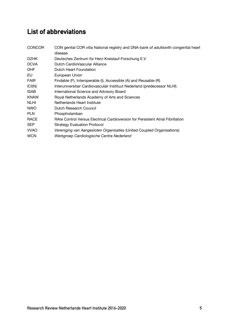# **List of abbreviations**

| <b>CONCOR</b> | CON genital COR vitia National registry and DNA-bank of adultswith congenital heart<br>disease |
|---------------|------------------------------------------------------------------------------------------------|
| <b>DZHK</b>   | Deutsches Zentrum für Herz-Kreislauf-Forschung E.V                                             |
| <b>DCVA</b>   | Dutch CardioVascular Alliance                                                                  |
| <b>DHF</b>    | Dutch Heart Foundation                                                                         |
| EU            | European Union                                                                                 |
| <b>FAIR</b>   | Findable (F), Interoperable (I), Accessible (A) and Reusable (R)                               |
| ICI(N)        | Interuniversitair Cardiovasculair Instituut Nederland (predecessor NLHI)                       |
| <b>ISAB</b>   | International Science and Advisory Board                                                       |
| <b>KNAW</b>   | Royal Netherlands Academy of Arts and Sciences                                                 |
| <b>NLHI</b>   | Netherlands Heart Institute                                                                    |
| <b>NWO</b>    | Dutch Research Council                                                                         |
| <b>PLN</b>    | Phospholamban                                                                                  |
| <b>RACE</b>   | RAte Control Versus Electrical Cardioversion for Persistent Atrial Fibrillation                |
| <b>SEP</b>    | <b>Strategy Evaluation Protocol</b>                                                            |
| <b>VVAO</b>   | Vereniging van Aangesloten Organisaties (United Coupled Organisations)                         |
| <b>WCN</b>    | Werkgroep Cardiologische Centra Nederland                                                      |
|               |                                                                                                |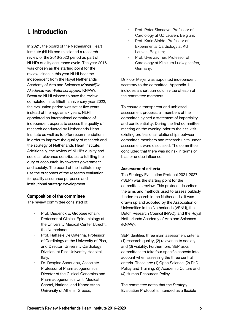# **I. Introduction**

In 2021, the board of the Netherlands Heart Institute (NLHI) commissioned a research review of the 2016-2020 period as part of NLHI's quality assurance cycle. The year 2016 was chosen as the starting point for the review, since in this year NLHI became independent from the Royal Netherlands Academy of Arts and Sciences (*Koninklijke Akademie van Wetenschappen,* KNAW). Because NLHI wished to have the review completed in its fiftieth anniversary year 2022, the evaluation period was set at five years instead of the regular six years. NLHI appointed an international committee of independent experts to assess the quality of research conducted by Netherlands Heart Institute as well as to offer recommendations in order to improve the quality of research and the strategy of Netherlands Heart Institute. Additionally, the review of NLHI's quality and societal relevance contributes to fulfilling the duty of accountability towards government and society. The board of the institute may use the outcomes of the research evaluation for quality assurance purposes and institutional strategy development.

# **Composition of the committee**

The review committee consisted of:

- Prof. Diederick E. Grobbee (chair), Professor of Clinical Epidemiology at the University Medical Center Utrecht, the Netherlands;
- Prof. Raffaele De Caterina, Professor of Cardiology at the University of Pisa, and Director, University Cardiology Division, at Pisa University Hospital, Italy;
- Dr. Despina Sanoudou, Associate Professor of Pharmacogenomics, Director of the Clinical Genomics and Pharmacogenomics Unit, Medical School, National and Kapodistrian University of Athens, Greece;
- Prof. Peter Sinnaeve, Professor of Cardiology at UZ Leuven, Belgium;
- Prof. Karin Sipido, Professor of Experimental Cardiology at KU Leuven, Belgium;
- Prof. Uwe Zeymer, Professor of Cardiology at Klinikum Ludwigshafen, Germany.

Dr Floor Meijer was appointed independent secretary to the committee. Appendix 1 includes a short curriculum vitae of each of the committee members.

To ensure a transparent and unbiased assessment process, all members of the committee signed a statement of impartiality and confidentiality. During the first committee meeting on the evening prior to the site visit, existing professional relationships between committee members and research units under assessment were discussed. The committee concluded that there was no risk in terms of bias or undue influence.

# **Assessment criteria**

The Strategy Evaluation Protocol 2021-2027 ('SEP') was the starting point for the committee's review. This protocol describes the aims and methods used to assess publicly funded research in the Netherlands. It was drawn up and adopted by the Association of Universities in the Netherlands (VSNU), the Dutch Research Council (NWO), and the Royal Netherlands Academy of Arts and Sciences (KNAW).

SEP identifies three main assessment criteria: (1) research quality, (2) relevance to society and (3) viability. Furthermore, SEP asks committees to take four specific aspects into account when assessing the three central criteria. These are: (1) Open Science, (2) PhD Policy and Training, (3) Academic Culture and (4) Human Resources Policy.

The committee notes that the Strategy Evaluation Protocol is intended as a flexible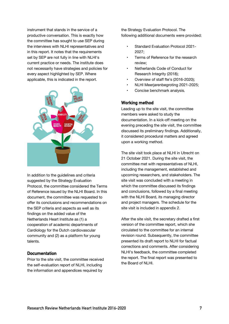instrument that stands in the service of a productive conversation. This is exactly how the committee has sought to use SEP during the interviews with NLHI representatives and in this report. It notes that the requirements set by SEP are not fully in line with NLHI's current practice or needs. The institute does not necessarily have strategies and policies for every aspect highlighted by SEP. Where applicable, this is indicated in the report.



In addition to the guidelines and criteria suggested by the Strategy Evaluation Protocol, the committee considered the Terms of Reference issued by the NLHI Board. In this document, the committee was requested to offer its conclusions and recommendations on the SEP criteria and aspects as well as its findings on the added value of the Netherlands Heart Institute as (1) a cooperation of academic departments of Cardiology for the Dutch cardiovascular community and (2) as a platform for young talents.

## **Documentation**

Prior to the site visit, the committee received the self-evaluation report of NLHI, including the information and appendices required by

the Strategy Evaluation Protocol. The following additional documents were provided:

- Standard Evaluation Protocol 2021- 2027;
- Terms of Reference for the research review;
- Netherlands Code of Conduct for Research Integrity (2018);
- Overview of staff fte's (2016-2020);
- NLHI Meerjarenbegroting 2021-2025;
- Concise benchmark analysis.

## **Working method**

Leading up to the site visit, the committee members were asked to study the documentation. In a kick-off meeting on the evening preceding the site visit, the committee discussed its preliminary findings. Additionally, it considered procedural matters and agreed upon a working method.

The site visit took place at NLHI in Utrecht on 21 October 2021. During the site visit, the committee met with representatives of NLHI, including the management, established and upcoming researchers, and stakeholders. The site visit was concluded with a meeting in which the committee discussed its findings and conclusions, followed by a final meeting with the NLHI Board, its managing director and project managers. The schedule for the site visit is included in appendix 2.

After the site visit, the secretary drafted a first version of the committee report, which she circulated to the committee for an internal revision round. Subsequently, the committee presented its draft report to NLHI for factual corrections and comments. After considering NLHI's feedback, the committee completed the report. The final report was presented to the Board of NLHI.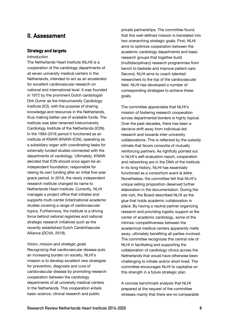# **II. Assessment**

## **Strategy and targets**

## *Introduction*

The Netherlands Heart Institute (NLHI) is a cooperation of the cardiology departments of all seven university medical centers in the Netherlands, intended to act as an accelerator for excellent cardiovascular research on national and international level. It was founded in 1972 by the prominent Dutch cardiologist Dirk Durrer as the Interuniversity Cardiology Institute (ICI), with the purpose of sharing knowledge and resources in the Netherlands, thus making better use of available funds. The institute was later renamed Interuniversity Cardiology Institute of the Netherlands (ICIN). In the 1993-2016 period it functioned as an institute of KNAW (KNAW-ICIN), operating as a subsidiary organ with coordinating tasks for externally funded studies connected with the departments of cardiology. Ultimately, KNAW decided that ICIN should once again be an independent foundation, responsible for raising its own funding after an initial five-year grace period. In 2016, the newly independent research institute changed its name to Netherlands Heart Institute. Currently, NLHI manages a project office that initiates and supports multi-center (inter)national academic studies covering a range of cardiovascular topics. Furthermore, the institute is a driving force behind national registries and national strategic research initiatives such as the recently established Dutch CardioVascular Alliance (DCVA, 2018).

#### *Vision, mission and strategic goals*

Recognizing that cardiovascular disease puts an increasing burden on society, NLHI's mission is to develop excellent new strategies for prevention, diagnosis and cure of cardiovascular disease by promoting research cooperation between the cardiology departments of all university medical centers in the Netherlands. This cooperation entails basic science, clinical research and public

private partnerships. The committee found that this well-defined mission is translated into two overarching strategic goals. First, NLHI aims to optimize cooperation between the academic cardiology departments and basic research groups that together build (multidisciplinary) research programmes from bench to bedside and improve patient care. Second, NLHI aims to coach talented researchers to the top of the cardiovascular field. NLHI has developed a number of corresponding strategies to achieve these goals.

The committee appreciates that NLHI's mission of fostering research cooperation across departmental borders is highly topical. Over the past decades, there has been a decisive shift away from individual-led research and towards inter-university collaborations. This is reflected by the subsidy climate that favors consortia of mutually reinforcing partners. As rightfully pointed out in NLHI's self-evaluation report, cooperation and networking are in the DNA of the institute. In its long history, NLHI has essentially functioned as a consortium *avant la lettre*. Nonetheless, the committee felt that NLHI's unique selling proposition deserved further elaboration in the documentation. During the site visit, the Board described NLHI as the glue that holds academic collaboration in place. By having a neutral partner organizing research and providing logistic support at the center of academic cardiology, some of the intrinsic competitiveness between the academical medical centers apparently melts away, ultimately benefiting all parties involved. The committee recognizes this central role of NLHI in facilitating and supporting the collaboration of cardiology clinics across the Netherlands that would have otherwise been challenging to initiate and/or short-lived. The committee encourages NLHI to capitalize on this strength in a future strategic plan.

A concise benchmark analysis that NLHI prepared at the request of the committee stresses mainly that there are no comparable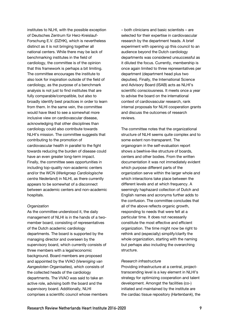institutes to NLHI, with the possible exception of Deutsches Zentrum für Herz-Kreislauf-Forschung E.V. (DZHK), which is nevertheless distinct as it is not bringing together all national centers. While there may be lack of benchmarking institutes in the field of cardiology, the committee is of the opinion that this framework is perhaps a bit limiting. The committee encourages the institute to also look for inspiration outside of the field of cardiology, as the purpose of a benchmark analysis is not just to find institutes that are fully comparable/compatible, but also to broadly identify best practices in order to learn from them. In the same vein, the committee would have liked to see a somewhat more inclusive view on cardiovascular disease, acknowledging that other disciplines than cardiology could also contribute towards NLHI's mission. The committee suggests that contributing to the promotion of cardiovascular health in parallel to the fight towards reducing the burden of disease could have an even greater long-term impact. Finally, the committee sees opportunities in including top-quality non-academic centers and/or the WCN (*Werkgroep Cardiologische centra Nederland*) in NLHI, as there currently appears to be somewhat of a disconnect between academic centers and non-academic hospitals.

#### *Organization*

As the committee understood it, the daily management of NLHI is in the hands of a twomember board, consisting of representatives of the Dutch academic cardiology departments. The board is supported by the managing director and overseen by the supervisory board, which currently consists of three members with a legal/economic background. Board members are proposed and appointed by the VVAO (*Vereniging van Aangesloten Organisaties*), which consists of the collected heads of the cardiology departments. The VVAO was said to take an active role, advising both the board and the supervisory board. Additionally, NLHI comprises a scientific council whose members – both clinicians and basic scientists – are selected for their expertise in cardiovascular research by the department heads. A brief experiment with opening up this council to an audience beyond the Dutch cardiology departments was considered unsuccessful as it diluted the focus. Currently, membership is once again limited to three representatives per department (department head plus two deputies). Finally, the International Science and Advisory Board (ISAB) acts as NLHI's scientific consciousness. It meets once a year to advise the board on the international context of cardiovascular research, rank internal proposals for NLHI cooperation grants and discuss the outcomes of research reviews.

The committee notes that the organizational structure of NLHI seems quite complex and to some extent non-transparent. The organogram in the self-evaluation report shows a beehive-like structure of boards, centers and other bodies. From the written documentation it was not immediately evident which purpose different parts of the organization serve within the larger whole and which interactions take place between the different levels and at which frequency. A seemingly haphazard collection of Dutch and English names and acronyms further adds to the confusion. The committee concludes that all of the above reflects organic growth, responding to needs that were felt at a particular time. It does not necessarily constitute the most effective and efficient organization. The time might now be right to rethink and (especially) simplify/clarify the whole organization, starting with the naming but perhaps also including the overarching structure.

#### *Research infrastructure*

Providing infrastructure at a central, projecttranscending level is a key element in NLHI's strategy for optimizing cooperation and talent development. Amongst the facilities (co-) initiated and maintained by the institute are the cardiac tissue repository (*Hartenbank*), the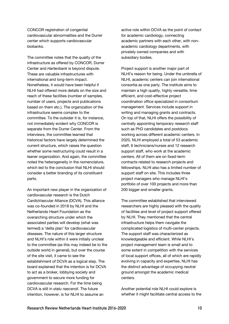CONCOR registration of congenital cardiovascular abnormalities and the Durrer center which supports cardiovascular biobanks.

The committee notes that the quality of the infrastructure as offered by CONCOR, Durrer Center and *Hartenbank* is beyond dispute. These are valuable infrastructures with international and long-term impact. Nonetheless, it would have been helpful if NLHI had offered more details on the size and reach of these facilities (number of samples, number of users, projects and publications based on them etc.). The organization of the infrastructure seems complex to the committee. To the outsider it is, for instance, not immediately evident why CONCOR is separate from the Durrer Center. From the interviews, the committee learned that historical factors have largely determined the current structure, which raises the question whether some restructuring could result in a leaner organization. And again, the committee noted the heterogeneity in the nomenclature, which led to the conclusion that NLHI should consider a better branding of its constituent parts.

An important new player in the organization of cardiovascular research is the Dutch CardioVascular Alliance (DCVA). This alliance was co-founded in 2018 by NLHI and the Netherlands Heart Foundation as the overarching structure under which the associated parties will develop (what was termed) a 'delta plan' for cardiovascular diseases. The nature of this larger structure and NLHI's role within it were initially unclear to the committee (as this may indeed be to the outside world in general), but over the course of the site visit, it came to see the establishment of DCVA as a logical step. The board explained that the intention is for DCVA to act as a broker, lobbying society and government to secure more funding for cardiovascular research. For the time being DCVA is still in *statu nascendi*. The future intention, however, is for NLHI to assume an

active role within DCVA as the point of contact for academic cardiology, connecting academic partners with each other, with nonacademic cardiology departments, with privately owned companies and with subsidiary bodies.

Project support is another major part of NLHI's reason for being. Under the umbrella of NLHI, academic centers can join international consortia as one party. The institute aims to maintain a high quality, highly versatile, time efficient, and cost-effective project coordination office specialized in consortium management. Services include support in writing and managing grants and contracts. On top of that, NLHI offers the possibility of centrally appointing temporary research staff such as PhD candidates and postdocs working across different academic centers. In 2020, NLHI employed a total of 53 academic staff, 6 technicians/nurses and 12 research support staff, who work at the academic centers. All of them are on fixed-term contracts related to research projects and fellowships. NLHI also has a limited number of support staff on site. This includes three project managers who manage NLHI's portfolio of over 100 projects and more than 200 bigger and smaller grants.

The committee established that interviewed researchers are highly pleased with the quality of facilities and level of project support offered by NLHI. They mentioned that the central infrastructure helps them navigate the complicated logistics of multi-center projects. The support staff was characterized as knowledgeable and efficient. While NLHI's project management team is small and to some extent in competition with the services of local support offices, all of which are rapidly evolving in capacity and expertise, NLHI has the distinct advantage of occupying neutral ground amongst the academic medical centers.

Another potential role NLHI could explore is whether it might facilitate central access to the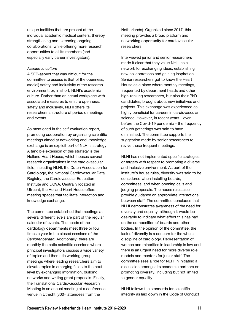unique facilities that are present at the individual academic medical centers, thereby strengthening and extending ongoing collaborations, while offering more research opportunities to all its members (and especially early career investigators).

#### *Academic culture*

A SEP-aspect that was difficult for the committee to assess is that of the openness, (social) safety and inclusivity of the research environment, or, in short, NLHI's academic culture. Rather than an actual workplace with associated measures to ensure openness, safety and inclusivity, NLHI offers its researchers a structure of periodic meetings and events.

As mentioned in the self-evaluation report, promoting cooperation by organizing scientific meetings aimed at networking and knowledge exchange is an explicit part of NLHI's strategy. A tangible extension of this strategy is the Holland Heart House, which houses several research organizations in the cardiovascular field, including NLHI, the Dutch Association for Cardiology, the National Cardiovascular Data Registry, the Cardiovascular Education Institute and DCVA. Centrally located in Utrecht, the Holland Heart House offers meeting spaces that facilitate interaction and knowledge exchange.

The committee established that meetings at several different levels are part of the regular calendar of events. The heads of the cardiology departments meet three or four times a year in the closed sessions of the *Seniorenberaad.* Additionally, there are monthly thematic scientific sessions where principal investigators discuss a wide variety of topics and thematic working group meetings where leading researchers aim to elevate topics in emerging fields to the next level by exchanging information, building networks and writing grant proposals. Finally, the Translational Cardiovascular Research Meeting is an annual meeting at a conference venue in Utrecht (300+ attendees from the

Netherlands). Organized since 2017, this meeting provides a broad platform and networking opportunity for cardiovascular researchers.

Interviewed junior and senior researchers made it clear that they value NHLI as a network for exchanging ideas, establishing new collaborations and gaining inspiration. Senior researchers got to know the Heart House as a place where monthly meetings, frequented by department heads and other high-ranking researchers, but also their PhD candidates, brought about new initiatives and projects. This exchange was experienced as highly beneficial for careers in cardiovascular science. However, in recent years – even before the Covid-19 pandemic – the frequency of such gatherings was said to have diminished. The committee supports the suggestion made by senior researchers to revive these frequent meetings.

NLHI has not implemented specific strategies or targets with respect to promoting a diverse and inclusive environment. As part of the institute's house rules, diversity was said to be considered when installing boards, committees, and when opening calls and judging proposals. The house rules also provide guidance on appropriate interactions between staff. The committee concludes that NLHI demonstrates awareness of the need for diversity and equality, although it would be desirable to indicate what effect this has had on the composition of boards and other bodies. In the opinion of the committee, the lack of diversity is a concern for the whole discipline of cardiology. Representation of women and minorities in leadership is low and there is an urgent need for more diverse role models and mentors for junior staff. The committee sees a role for NLHI in initiating a discussion amongst its academic partners on promoting diversity, including but not limited to gender equality.

NLHI follows the standards for scientific integrity as laid down in the Code of Conduct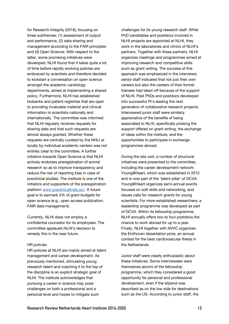for Research Integrity (2018), focusing on three subthemes: (1) assessment of output and performance, (2) data sharing and management according to the FAIR principles and (3) Open Science. With respect to the latter, some promising initiatives were developed. NLHI found that it takes quite a lot of time before rapidly evolving policies are embraced by scientists and therefore decided to kickstart a conversation on open science amongst the academic cardiology departments, aimed at implementing a shared policy. Furthermore, NLHI has established biobanks and patient registries that are open to providing invaluable material and clinical information to scientists nationally and internationally. The committee was informed that NLHI regularly receives requests for sharing data and that such requests are almost always granted. Whether these requests are centrally curated by the NHLI or locally by individual academic centers was not entirely clear to the committee. A further initiative towards Open Science is that NLHI actively endorses preregistration of animal research so as to improve transparency and reduce the risk of reporting bias in case of preclinical studies. The institute is one of the initiators and supporters of the preregistration platform www.preclinicaltrials.eu/. A future goal is to earmark 5% of grant budgets for open science (e.g., open access publication, FAIR data management).

Currently, NLHI does not employ a confidential counselor for its employees. The committee applauds NLHI's decision to remedy this in the near future.

#### *HR policies*

HR policies at NLHI are mainly aimed at talent management and career development. As previously mentioned, stimulating young research talent and coaching it to the top of the discipline is an explicit strategic goal of NLHI. The institute acknowledges that pursuing a career in science may pose challenges on both a professional and a personal level and hopes to mitigate such

challenges for its young research staff. While PhD candidates and postdocs involved in NLHI projects are appointed at NLHI, they work in the laboratories and clinics of NLHI's partners. Together with these partners, NLHI organizes meetings and programmes aimed at improving research and competitive skills such as grant writing. The success of this approach was emphasized in the interviews: senior staff indicated that not just their own careers but also the careers of their former trainees had taken off because of the support of NLHI. Past PhDs and postdocs developed into successful PI's leading the next generation of collaborative research projects. Interviewed junior staff were similarly appreciative of the benefits of being associated to NLHI, specifically praising the support offered on grant writing, the exchange of ideas within the institute, and the opportunities to participate in exchange programmes abroad.

During the site visit, a number of structural initiatives were presented to the committee, including the career development network Young@Heart, which was established in 2012 and is now part of the 'talent pillar' of DCVA. Young@Heart organizes semi-annual events focused on soft skills and networking, and issues calls for research grants for young scientists. For more established researchers, a leadership programme was developed as part of DCVA. Within its fellowship programme, NLHI annually offers two to four postdocs the chance to work abroad for up to a year. Finally, NLHI together with NVVC organizes the Einthoven dissertation prize, an annual contest for the best cardiovascular thesis in the Netherlands.

Junior staff were clearly enthusiastic about these initiatives. Some interviewees were themselves alumni of the fellowship programme, which they considered a good opportunity for personal and professional development, even if the stipend was described as on the low side for destinations such as the US. According to junior staff, the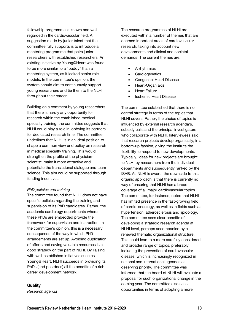fellowship programme is known and wellregarded in the cardiovascular field. A suggestion made by junior talent that the committee fully supports is to introduce a mentoring programme that pairs junior researchers with established researchers. An existing initiative by Young@Heart was found to be more similar to a "buddy" than a mentoring system, as it lacked senior role models. In the committee's opinion, the system should aim to continuously support young researchers and tie them to the NLHI throughout their career.

Building on a comment by young researchers that there is hardly any opportunity for research within the established medical specialty training, the committee suggests that NLHI could play a role in lobbying its partners for dedicated research time. The committee underlines that NLHI is in an ideal position to shape a common view and policy on research in medical specialty training. This would strengthen the profile of the physicianscientist, make it more attractive and potentiate the translational dialogue and team science. This aim could be supported through funding incentives.

#### *PhD policies and training*

The committee found that NLHI does not have specific policies regarding the training and supervision of its PhD candidates. Rather, the academic cardiology departments where these PhDs are embedded provide the framework for supervision and instruction. In the committee's opinion, this is a necessary consequence of the way in which PhD arrangements are set up. Avoiding duplication of efforts and saving valuable resources is a good strategy on the part of NLHI. By liaising with well-established initiatives such as Young@Heart, NLHI succeeds in providing its PhDs (and postdocs) all the benefits of a rich career development network.

**Quality** 

*Research agenda*

The research programmes of NLHI are executed within a number of themes that are deemed important areas of cardiovascular research, taking into account new developments and clinical and societal demands. The current themes are:

- **Arrhythmias**
- **Cardiogenetics**
- Congenital Heart Disease
- Heart-Organ axis
- Heart Failure
- Ischemic Heart Disease

The committee established that there is no central strategy in terms of the topics that NLHI covers. Rather, the choice of topics is influenced by external research agenda's, subsidy calls and the principal investigators who collaborate with NLHI. Interviewees said that research projects develop organically, in a bottom-up fashion, giving the institute the flexibility to respond to new developments. Typically, ideas for new projects are brought to NLHI by researchers from the individual departments and subsequently ranked by the ISAB. As NLHI is aware, the downside to this organic approach is that there is currently no way of ensuring that NLHI has a broad coverage of all major cardiovascular topics. The committee, for instance, noted that NLHI has limited presence in the fast-growing field of cardio-oncology, as well as in fields such as hypertension, atherosclerosis and lipidology. The committee sees clear benefits of developing a strategic research agenda at NLHI level, perhaps accompanied by a renewed thematic organizational structure. This could lead to a more carefully considered and broader range of topics, preferably including the prevention of cardiovascular disease, which is increasingly recognized in national and international agendas as deserving priority. The committee was informed that the board of NLHI will evaluate a proposal for such organizational change in the coming year. The committee also sees opportunities in terms of adopting a more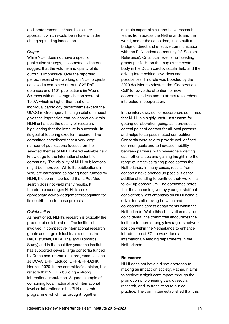deliberate trans/multi/interdisciplinary approach, which would be in tune with the changing funding landscape.

#### *Output*

While NLHI does not have a specific publication strategy, bibliometric indicators suggest that the volume and quality of its output is impressive. Over the reporting period, researchers working on NLHI projects achieved a combined output of 29 PhD defenses and 1101 publications (in Web of Science) with an average citation score of 19.97, which is higher than that of all individual cardiology departments except the UMCG in Groningen. This high citation impact gives the impression that collaboration within NLHI enhances the quality of research, highlighting that the institute is successful in its goal of fostering excellent research. The committee established that a very large number of publications focused on the selected themes of NLHI offered valuable new knowledge to the international scientific community. The visibility of NLHI publications might be improved. While its publications in WoS are earmarked as having been funded by NLHI, the committee found that a PubMed search does not yield many results. It therefore encourages NLHI to seek appropriate acknowledgement/recognition for its contribution to these projects.

#### *Collaboration*

As mentioned, NLHI's research is typically the product of collaboration. The institute is involved in competitive international research grants and large clinical trials (such as the RACE studies, HEBE Trial and Biomarcs Study) and in the past five years the institute has supported several large consortia funded by Dutch and international programmes such as DCVA, DHF, Leducq, DHF-BHF-DZHK, Horizon 2020. In the committee's opinion, this reflects that NLHI is building a strong international reputation. A good example of combining local, national and international level collaborations is the PLN research programme, which has brought together

multiple expert clinical and basic research teams from across the Netherlands and the world, and at the same time, it has built a bridge of direct and effective communication with the PLN patient community (cf. Societal Relevance). On a local level, small seeding grants put NLHI on the map as the central body in the Dutch cardiovascular field and the driving force behind new ideas and possibilities. This role was boosted by the 2020 decision to reinstate the 'Cooperation Call' to revive the attention for new cooperative ideas and to attract researchers interested in cooperation.

In the interviews, senior researchers confirmed that NLHI is a highly useful instrument for getting collaboration going, as it provides a central point of contact for all local partners and helps to surpass mutual competition. Consortia were said to provide well-defined common goals and to increase mobility between partners, with researchers visiting each other's labs and gaining insight into the range of initiatives taking place across the Netherlands. In many cases, results from consortia have opened up possibilities for additional funding to continue their work in a follow-up consortium. The committee notes that the accounts given by younger staff put considerably less emphasis on NLHI being a driver for staff moving between and collaborating across departments within the Netherlands. While this observation may be coincidental, the committee encourages the institute to more strongly leverage its network position within the Netherlands to enhance introduction of ECI to work done at internationally leading departments in the Netherlands.

# **Relevance**

NLHI does not have a direct approach to making an impact on society. Rather, it aims to achieve a significant impact through the promotion of pioneering cardiovascular research, and its translation to clinical practice. The committee established that this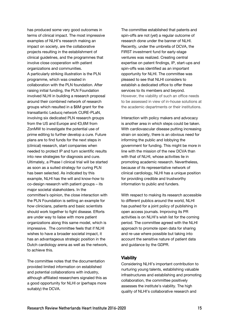has produced some very good outcomes in terms of clinical impact. The most impressive examples of NLHI's research making an impact on society, are the collaborative projects resulting in the establishment of clinical guidelines, and the programmes that involve close cooperation with patient organizations and communities. A particularly striking illustration is the PLN programme, which was created in collaboration with the PLN foundation. After raising initial funding, the PLN Foundation involved NLHI in building a research proposal around their combined network of research groups which resulted in a \$6M grant for the transatlantic Leducq network CURE-PLaN, involving six dedicated PLN research groups from the US and Europe and €3,6M from ZonMW to investigate the potential use of prime editing to further develop a cure. Future plans are to find funds for the next steps in (clinical) research, start companies when needed to protect IP and turn scientific results into new strategies for diagnosis and cure. Ultimately, a Phase I clinical trial will be started as soon as a suited strategy for curing PLN has been selected. As indicated by this example, NLHI has the will and know-how to co-design research with patient groups – its major societal stakeholders. In the committee's opinion, the close interaction with the PLN Foundation is setting an example for how clinicians, patients and basic scientists should work together to fight disease. Efforts are under way to liaise with more patient organizations along this same model, which is impressive. The committee feels that if NLHI wishes to have a broader societal impact, it has an advantageous strategic position in the Dutch cardiology arena as well as the network, to achieve this.

The committee notes that the documentation provided limited information on established and potential collaborations with industry, although affiliated researchers signaled this as a good opportunity for NLHI or (perhaps more suitably) the DCVA.

The committee established that patents and spin-offs are not (yet) a regular outcome of research done under the banner of NLHI. Recently, under the umbrella of DCVA, the FIRST investment fund for early-stage ventures was realized. Creating central expertise on patent findings, IP, start-ups and spin-offs was identified as an important opportunity for NLHI. The committee was pleased to see that NLHI considers to establish a dedicated office to offer these services to its members and beyond. However, the viability of such an office needs to be assessed in view of in-house solutions at the academic departments or their institutions.

Interaction with policy makers and advocacy is another area in which steps could be taken. With cardiovascular disease putting increasing strain on society, there is an obvious need for informing the public and lobbying the government for funding. This might be more in line with the mission of the new DCVA than with that of NLHI, whose activities lie in promoting academic research. Nevertheless, because of its representative network of clinical cardiology, NLHI has a unique position for providing credible and trustworthy information to public and funders.

With respect to making its research accessible to different publics around the world, NLHI has pushed for a joint policy of publishing in open access journals. Improving its PR activities is on NLHI's wish list for the coming period. The committee agreed with the NLHI approach to promote open data for sharing and re-use where possible but taking into account the sensitive nature of patient data and guidance by the GDPR.

# **Viability**

Considering NLHI's important contribution to nurturing young talents, establishing valuable infrastructures and establishing and promoting collaboration, the committee positively assesses the institute's viability. The high quality of NLHI's collaborative research and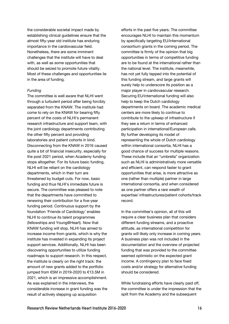the considerable societal impact made by establishing clinical guidelines ensure that the almost fifty-year old institute has enduring importance in the cardiovascular field. Nonetheless, there are some imminent challenges that the institute will have to deal with, as well as some opportunities that should be seized to promote future vitality. Most of these challenges and opportunities lie in the area of funding.

#### *Funding*

The committee is well aware that NLHI went through a turbulent period after being forcibly separated from the KNAW. The institute had come to rely on the KNAW for bearing fifty percent of the costs of NLHI's permanent research infrastructure and support team, with the joint cardiology departments contributing the other fifty percent and providing laboratories and patient cohorts in kind. Disconnecting from the KNAW in 2016 caused quite a bit of financial insecurity, especially for the post 2021 period, when Academy funding stops altogether. For its future basic funding, NLHI will be reliant on the cardiology departments, which in their turn are threatened by budget cuts. For now, basic funding and thus NLHI's immediate future is secure. The committee was pleased to note that the departments have committed to renewing their contribution for a five-year funding period. Continuous support by the foundation 'Friends of Cardiology' enables NLHI to continue its talent programmes (fellowships and Young@Heart). Now that KNAW funding will stop, NLHI has aimed to increase income from grants, which is why the institute has invested in expanding its project support services. Additionally, NLHI has been discovering opportunities to utilize funding roadmaps to support research. In this respect, the institute is clearly on the right track: the amount of new grants added to the portfolio iumped from €5M in 2019-2020 to €13.5M in 2021, which is an impressive accomplishment. As was explained in the interviews, the considerable increase in grant funding was the result of actively stepping up acquisition

efforts in the past five years. The committee encourages NLHI to maintain this momentum by specifically targeting EU/international consortium grants in the coming period. The committee is firmly of the opinion that big opportunities in terms of competitive funding are to be found at the international rather than the national level. The institute, meanwhile, has not yet fully tapped into the potential of this funding stream, and large grants will surely help to underscore its position as a major player in cardiovascular research. Securing EU/international funding will also help to keep the Dutch cardiology departments on board. The academic medical centers are more likely to continue to contribute to the upkeep of infrastructure if they see a return in terms of enhanced participation in international/European calls. By further developing its model of representing the whole of Dutch cardiology within international consortia, NLHI has a good chance of success for multiple reasons. These include that an "umbrella" organization such as NLHI is administratively more versatile and efficient, can respond faster to grant opportunities that arise, is more attractive as one (rather than multiple) partner in large international consortia, and when considered as one partner offers a rare wealth of expertise/ infrastructures/patient cohorts/track record.

In the committee's opinion, all of this will require a clear business plan that considers different funding streams, and a proactive attitude, as international competition for grants will likely only increase in coming years. A business plan was not included in the documentation and the overview of projected funding that was provided to the committee seemed optimistic on the expected grant income. A contingency plan to face fixed costs and/or strategy for alternative funding should be considered.

While fundraising efforts have clearly paid off, the committee is under the impression that the split from the Academy and the subsequent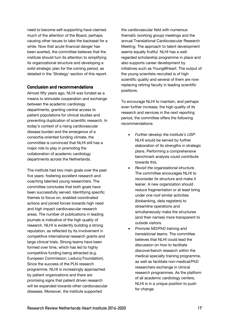need to become self-supporting have claimed much of the attention of the Board, perhaps causing other issues to take the backseat for a while. Now that acute financial danger has been averted, the committee believes that the institute should turn its attention to simplifying its organizational structure and developing a solid strategic plan for the coming period, as detailed in the 'Strategy'-section of this report.

## **Conclusion and recommendations**

Almost fifty years ago, NLHI was funded as a means to stimulate cooperation and exchange between the academic cardiology departments, granting central access to patient populations for clinical studies and preventing duplication of scientific research. In today's context of a rising cardiovascular disease burden and the emergence of a consortia-oriented funding climate, the committee is convinced that NLHI still has a major role to play in promoting the collaboration of academic cardiology departments across the Netherlands.

The institute had two main goals over the past five years: fostering excellent research and coaching talented young researchers. The committee concludes that both goals have been successfully served. Identifying specific themes to focus on, enabled coordinated actions and joined forces towards high need and high impact cardiovascular research areas. The number of publications in leading journals is indicative of the high quality of research. NLHI is evidently building a strong reputation, as reflected by its involvement in competitive international research grants and large clinical trials. Strong teams have been formed over time, which has led to highly competitive funding being attracted (e.g. European Commission, Leducq Foundation). Since the success of the PLN research programme, NLHI is increasingly approached by patient organizations and there are promising signs that patient driven research will be expanded towards other cardiovascular diseases. Moreover, the institute supported

the cardiovascular field with numerous thematic (working group) meetings and the annual Translational Cardiovascular Research Meeting. The approach to talent development seems equally fruitful. NLHI has a wellregarded scholarship programme in place and also supports career development by initiatives such as Young@Heart. The output of the young scientists recruited is of high scientific quality and several of them are now replacing retiring faculty in leading scientific positions.

To encourage NLHI to maintain, and perhaps even further increase, the high quality of its research and services in the next reporting period, the committee offers the following recommendations:

- *Further develop the institute's USP.* NLHI would be served by further elaboration of its strengths in strategic plans. Performing a comprehensive benchmark analysis could contribute towards this.
- *Revisit the organizational structure.*  The committee encourages NLHI to reconsider its structure and make it leaner. A new organization should reduce fragmentation or at least bring under one roof similar activities (biobanking, data registers) to streamline operations and simultaneously make the structures (and their names) more transparent to outside visitors.
- *Promote MD/PhD training and translational teams.* The committee believes that NLHI could lead the discussion on how to facilitate discover/bench research within the medical specialty training programme, as well as facilitate non-medical/PhD researchers exchange in clinical research programmes. As the platform of all academic cardiology centers, NLHI is in a unique position to push for change.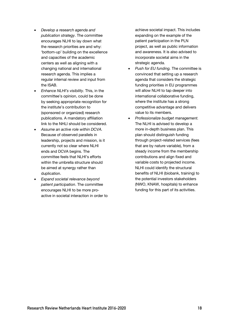- *Develop a research agenda and publication strategy*. The committee encourages NLHI to lay down what the research priorities are and why: 'bottom-up' building on the excellence and capacities of the academic centers as well as aligning with a changing national and international research agenda. This implies a regular internal review and input from the ISAB.
- *Enhance NLHI's visibility*. This, in the committee's opinion, could be done by seeking appropriate recognition for the institute's contribution to (sponsored or organized) research publications. A mandatory affiliation link to the NHLI should be considered.
- *Assume an active role within DCVA.*  Because of observed parallels in leadership, projects and mission, is it currently not so clear where NLHI ends and DCVA begins. The committee feels that NLHI's efforts within the umbrella structure should be aimed at synergy rather than duplication.
- *Expand societal relevance beyond patient participation*. The committee encourages NLHI to be more proactive in societal interaction in order to

achieve societal impact. This includes expanding on the example of the patient participation in the PLN project, as well as public information and awareness. It is also advised to incorporate societal aims in the strategic agenda.

- *Push for EU funding.* The committee is convinced that setting up a research agenda that considers the strategic funding priorities in EU programmes will allow NLHI to tap deeper into international collaborative funding, where the institute has a strong competitive advantage and delivers value to its members.
- *Professionalize budget management.*  The NLHI is advised to develop a more in-depth business plan. This plan should distinguish funding through project-related services (fees that are by nature variable), from a steady income from the membership contributions and align fixed and variable costs to projected income. NLHI could identify the structural benefits of NLHI (biobank, training) to the potential investors stakeholders (NWO, KNAW, hospitals) to enhance funding for this part of its activities.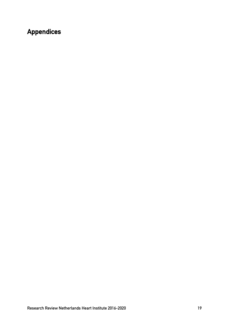# **Appendices**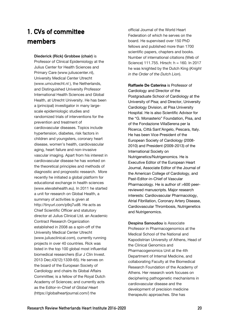# **1. CVs of committee members**

**Diederick (Rick) Grobbee (chair)** is Professor of Clinical Epidemiology at the Julius Center for Health Sciences and Primary Care (www.juliuscenter.nl), University Medical Center Utrecht (www.umcutrecht.nl ), the Netherlands, and Distinguished University Professor International Health Sciences and Global Health, at Utrecht University. He has been a (principal) investigator in many largescale epidemiologic studies and randomized trials of interventions for the prevention and treatment of cardiovascular diseases. Topics include hypertension, diabetes, risk factors in children and youngsters, coronary heart disease, women's health, cardiovascular aging, heart failure and non-invasive vascular imaging. Apart from his interest in cardiovascular disease he has worked on the theoretical principles and methods of diagnostic and prognostic research. More recently he initiated a global platform for educational exchange in health sciences (www.elevatehealth.eu). In 2011 he started a unit for research on Global Health, a summary of activities is given at http://tinyurl.com/p9q7ud8. He acts as Chief Scientific Officer and statutory director at Julius Clinical Ltd. an Academic Contract Research Organization established in 2008 as a spin-off of the University Medical Center Utrecht (www.juliusclinical.com), currently running projects in over 40 countries. Rick was listed in the top 100 global most influential biomedical researchers (Eur J Clin Invest. 2013 Dec;43(12):1339-65). He serves on the board of the European Society of Cardiology and chairs its Global Affairs Committee; is a fellow of the Royal Dutch Academy of Sciences; and currently acts as the Editor-in-Chief of *Global Heart* (https://globalheartjournal.com/) the

official Journal of the World Heart Federation of which he serves on the board. He supervised over 150 PhD fellows and published more than 1700 scientific papers, chapters and books. Number of international citations (Web of Science) 111.755. Hirsch: h = 160. In 2017 he was knighted by the Dutch King (*Knight in the Order of the Dutch Lion*).

**Raffaele De Caterina** is Professor of Cardiology and Director of the Postgraduate School of Cardiology at the University of Pisa; and Director, University Cardiology Division, at Pisa University Hospital. He is also Scientific Advisor for the "G. Monasterio" Foundation, Pisa, and of the Fondazione VillaSerena per la Ricerca, Città Sant'Angelo, Pescara, Italy. He has been Vice-President of the European Society of Cardiology (2008- 2010) and President (2009-2013) of the International Society on Nutrigenetics/Nutrigenomics. He is Executive Editor of the European Heart Journal, Associate Editor of the Journal of the American College of Cardiology, and Past-Editor-in-Chief of Vascular Pharmacology. He is author of >600 peerreviewed manuscripts. Major research interests: Cardiovascular Pharmacology, Atrial Fibrillation, Coronary Artery Disease, Cardiovascular Thrombosis, Nutrigenetics and Nutrigenomics.

**Despina Sanoudou** is Associate Professor in Pharmacogenomics at the Medical School of the National and Kapodistrian University of Athens, Head of the Clinical Genomics and Pharmacogenomics Unit at the 4th Department of Internal Medicine, and collaborating Faculty at the Biomedical Research Foundation of the Academy of Athens. Her research work focuses on deciphering pathogenetic mechanisms in cardiovascular disease and the development of precision medicine therapeutic approaches. She has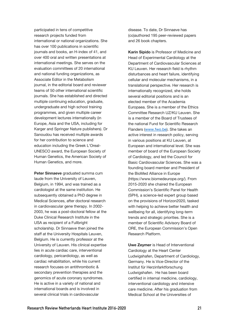participated in tens of competitive research projects funded from international or national organizations. She has over 100 publications in scientific journals and books, an H-index of 41, and over 400 oral and written presentations at international meetings. She serves on the evaluation committees of 20 international and national funding organizations, as Associate Editor in the Metabolism journal, in the editorial board and reviewer teams of 50 other international scientific journals. She has established and directed multiple continuing education, graduate, undergraduate and high school training programmes, and given multiple career development lectures internationally (in Europe, Asia and the USA, including for Karger and Springer Nature publishers). Dr Sanoudou has received multiple awards for her contribution to science and education including the Greek L'Oreal-UNESCO award, the European Society of Human Genetics, the American Society of Human Genetics, and more.

**Peter Sinnaeve** graduated summa cum laude from the University of Leuven, Belgium, in 1994, and was trained as a cardiologist at the same institution. He subsequently obtained a PhD degree in Medical Sciences, after doctoral research in cardiovascular gene therapy. In 2002- 2003, he was a post-doctoral fellow at the Duke Clinical Research Institute in the USA as recipient of a Fullbright scholarship. Dr Sinnaeve then joined the staff at the University Hospitals Leuven, Belgium. He is currently professor at the University of Leuven. His clinical expertise lies in acute cardiac care, interventional cardiology, pericardiology, as well as cardiac rehabilitation, while his current research focuses on antithrombotic & secondary prevention therapies and the genomics of acute coronary syndromes. He is active in a variety of national and international boards and is involved in several clinical trials in cardiovascular

disease. To date, Dr Sinnaeve has (co)authored 195 peer-reviewed papers and 26 book chapters.

**Karin Sipido** is Professor of Medicine and Head of Experimental Cardiology at the Department of Cardiovascular Sciences at KU Leuven. Her research field is rhythm disturbances and heart failure, identifying cellular and molecular mechanisms, in a translational perspective. Her research is internationally recognized, she holds several editorial positions and is an elected member of the Academia Europaea. She is a member of the Ethics Committee Research UZ/KU Leuven. She is a member of the Board of Trustees of the national Fund for Scientific Research Flanders (www.fwo.be). She takes an active interest in research policy, serving in various positions at KU Leuven, at European and international level. She was member of board of the European Society of Cardiology, and led the Council for Basic Cardiovascular Sciences. She was a founding board member and President of the BioMed Alliance in Europe (https://www.biomedeurope.org/). From 2015-2020 she chaired the European Commission's Scientific Panel for Health (SPH), a science-led expert group based on the provisions of Horizon2020, tasked with helping to achieve better health and wellbeing for all, identifying long-term trends and strategic priorities. She is a member of Scientific Advisory Board of ORE, the European Commission's Open Research Platform.

**Uwe Zeymer** is Head of Interventional Cardiology at the Heart Center Ludwigshafen, Department of Cardiology, Germany. He is Vice-Director of the Institut für Herzinfarktforschung Ludwigshafen. He has been board certified in internal medicine, cardiology, interventional cardiology and intensive care medicine. After his graduation from Medical School at the Universities of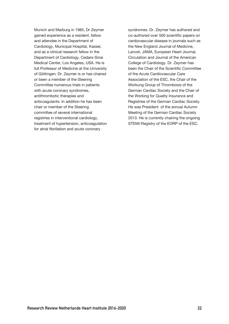Munich and Marburg in 1985, Dr Zeymer gained experience as a resident, fellow and attendee in the Department of Cardiology, Municipal Hospital, Kassel, and as a clinical research fellow in the Department of Cardiology, Cedars-Sinai Medical Center, Los Angeles, USA. He is full Professor of Medicine at the University of Göttingen. Dr. Zeymer is or has chaired or been a member of the Steering Committee numerous trials in patients with acute coronary syndromes, antithrombotic therapies and anticoagulants. In addition he has been chair or member of the Steering committee of several international registries in interventional cardiology, treatment of hypertension, anticoagulation for atrial fibrillation and acute coronary

syndromes. Dr. Zeymer has authored and co-authored over 500 scientific papers on cardiovascular disease in journals such as the New England Journal of Medicine, Lancet, JAMA, European Heart Journal, Circulation and Journal of the American College of Cardiology. Dr. Zeymer has been the Chair of the Scientific Committee of the Acute Cardiovascular Care Association of the ESC, the Chair of the Workung Group of Thrombosis of the German Cardiac Society and the Chair of the Working for Quality Insurance and Registries of the German Cardiac Society. He was President of the annual Autumn Meeting of the German Cardiac Society 2013. He is currently chairing the ongoing STEMI-Registry of the EORP of the ESC.